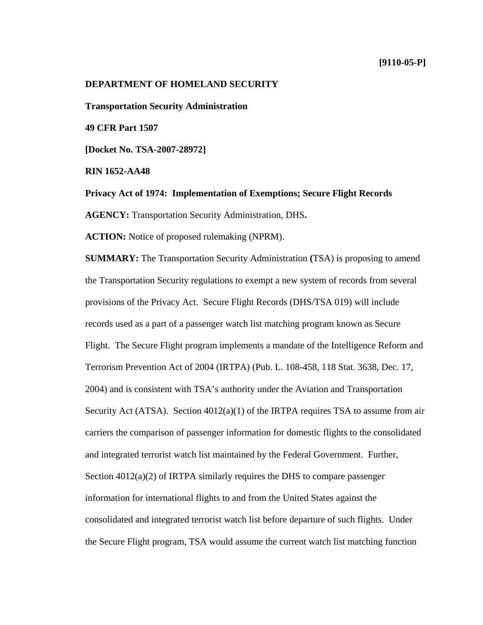# **[9110-05-P]**

# **DEPARTMENT OF HOMELAND SECURITY**

**Transportation Security Administration** 

**49 CFR Part 1507**

**[Docket No. TSA-2007-28972]**

**RIN 1652-AA48**

**Privacy Act of 1974: Implementation of Exemptions; Secure Flight Records** 

**AGENCY:** Transportation Security Administration, DHS**.** 

**ACTION:** Notice of proposed rulemaking (NPRM).

**SUMMARY:** The Transportation Security Administration **(**TSA) is proposing to amend the Transportation Security regulations to exempt a new system of records from several provisions of the Privacy Act. Secure Flight Records (DHS/TSA 019) will include records used as a part of a passenger watch list matching program known as Secure Flight. The Secure Flight program implements a mandate of the Intelligence Reform and Terrorism Prevention Act of 2004 (IRTPA) (Pub. L. 108-458, 118 Stat. 3638, Dec. 17, 2004) and is consistent with TSA's authority under the Aviation and Transportation Security Act (ATSA). Section  $4012(a)(1)$  of the IRTPA requires TSA to assume from air carriers the comparison of passenger information for domestic flights to the consolidated and integrated terrorist watch list maintained by the Federal Government. Further, Section 4012(a)(2) of IRTPA similarly requires the DHS to compare passenger information for international flights to and from the United States against the consolidated and integrated terrorist watch list before departure of such flights. Under the Secure Flight program, TSA would assume the current watch list matching function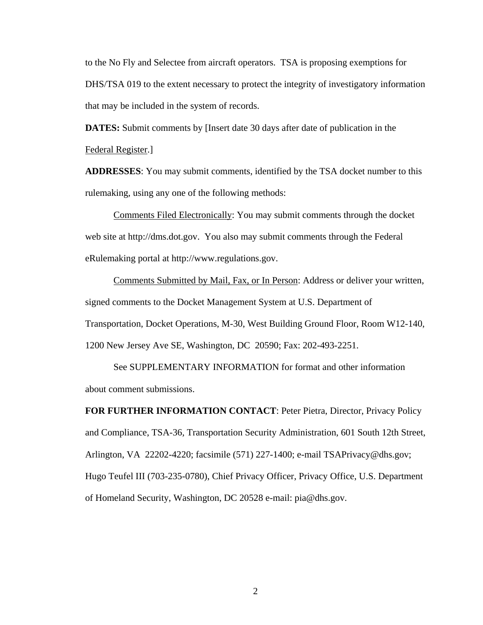to the No Fly and Selectee from aircraft operators. TSA is proposing exemptions for DHS/TSA 019 to the extent necessary to protect the integrity of investigatory information that may be included in the system of records.

**DATES:** Submit comments by [Insert date 30 days after date of publication in the Federal Register.]

**ADDRESSES**: You may submit comments, identified by the TSA docket number to this rulemaking, using any one of the following methods:

 Comments Filed Electronically: You may submit comments through the docket web site at http://dms.dot.gov. You also may submit comments through the Federal eRulemaking portal at http://www.regulations.gov.

 Comments Submitted by Mail, Fax, or In Person: Address or deliver your written, signed comments to the Docket Management System at U.S. Department of Transportation, Docket Operations, M-30, West Building Ground Floor, Room W12-140, 1200 New Jersey Ave SE, Washington, DC 20590; Fax: 202-493-2251.

 See SUPPLEMENTARY INFORMATION for format and other information about comment submissions.

**FOR FURTHER INFORMATION CONTACT**: Peter Pietra, Director, Privacy Policy and Compliance, TSA-36*,* Transportation Security Administration, 601 South 12th Street, Arlington, VA 22202-4220; facsimile (571) 227-1400; e-mail TSAPrivacy@dhs.gov; Hugo Teufel III (703-235-0780), Chief Privacy Officer, Privacy Office, U.S. Department of Homeland Security, Washington, DC 20528 e-mail: pia@dhs.gov.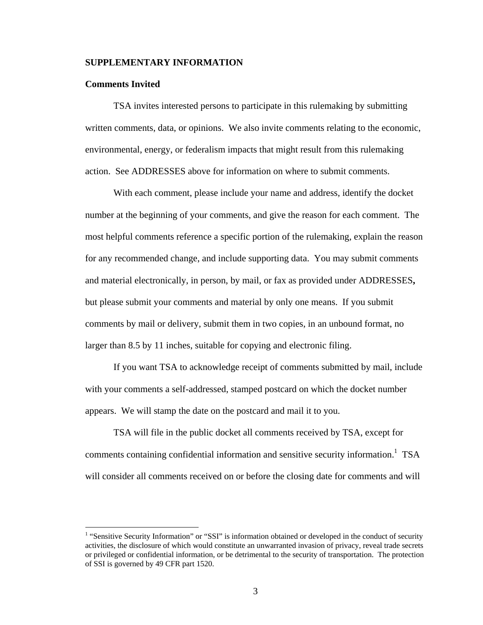# **SUPPLEMENTARY INFORMATION**

## **Comments Invited**

<u>.</u>

 TSA invites interested persons to participate in this rulemaking by submitting written comments, data, or opinions. We also invite comments relating to the economic, environmental, energy, or federalism impacts that might result from this rulemaking action. See ADDRESSES above for information on where to submit comments.

 With each comment, please include your name and address, identify the docket number at the beginning of your comments, and give the reason for each comment. The most helpful comments reference a specific portion of the rulemaking, explain the reason for any recommended change, and include supporting data. You may submit comments and material electronically, in person, by mail, or fax as provided under ADDRESSES**,**  but please submit your comments and material by only one means. If you submit comments by mail or delivery, submit them in two copies, in an unbound format, no larger than 8.5 by 11 inches, suitable for copying and electronic filing.

 If you want TSA to acknowledge receipt of comments submitted by mail, include with your comments a self-addressed, stamped postcard on which the docket number appears. We will stamp the date on the postcard and mail it to you.

 TSA will file in the public docket all comments received by TSA, except for comments containing confidential information and sensitive security information.<sup>1</sup> TSA will consider all comments received on or before the closing date for comments and will

<sup>&</sup>lt;sup>1</sup> "Sensitive Security Information" or "SSI" is information obtained or developed in the conduct of security activities, the disclosure of which would constitute an unwarranted invasion of privacy, reveal trade secrets or privileged or confidential information, or be detrimental to the security of transportation. The protection of SSI is governed by 49 CFR part 1520.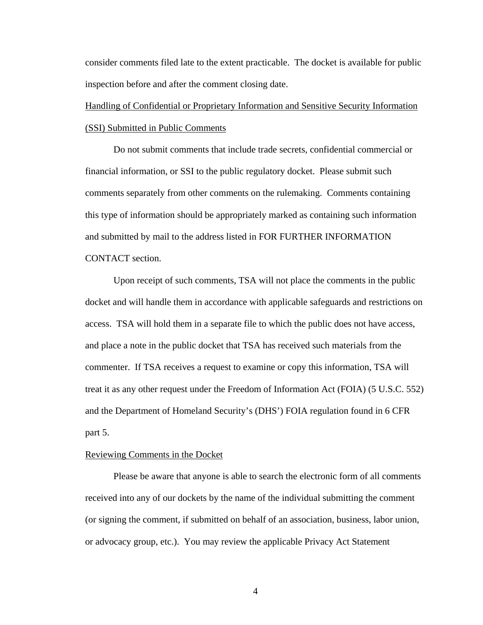consider comments filed late to the extent practicable. The docket is available for public inspection before and after the comment closing date.

# Handling of Confidential or Proprietary Information and Sensitive Security Information (SSI) Submitted in Public Comments

 Do not submit comments that include trade secrets, confidential commercial or financial information, or SSI to the public regulatory docket. Please submit such comments separately from other comments on the rulemaking. Comments containing this type of information should be appropriately marked as containing such information and submitted by mail to the address listed in FOR FURTHER INFORMATION CONTACT section.

 Upon receipt of such comments, TSA will not place the comments in the public docket and will handle them in accordance with applicable safeguards and restrictions on access. TSA will hold them in a separate file to which the public does not have access, and place a note in the public docket that TSA has received such materials from the commenter. If TSA receives a request to examine or copy this information, TSA will treat it as any other request under the Freedom of Information Act (FOIA) (5 U.S.C. 552) and the Department of Homeland Security's (DHS') FOIA regulation found in 6 CFR part 5.

# Reviewing Comments in the Docket

 Please be aware that anyone is able to search the electronic form of all comments received into any of our dockets by the name of the individual submitting the comment (or signing the comment, if submitted on behalf of an association, business, labor union, or advocacy group, etc.). You may review the applicable Privacy Act Statement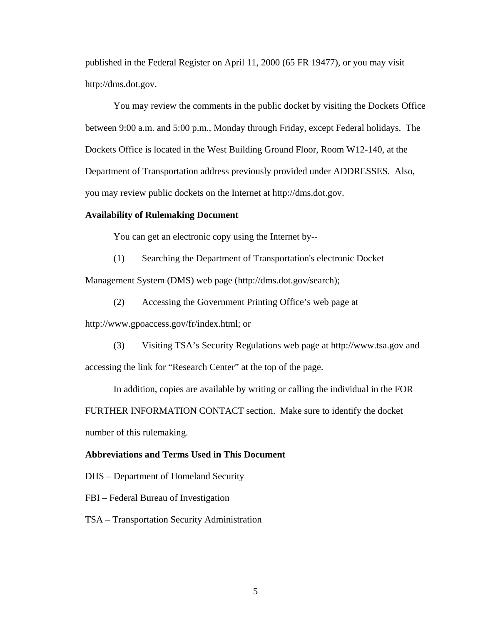published in the Federal Register on April 11, 2000 (65 FR 19477), or you may visit http://dms.dot.gov.

 You may review the comments in the public docket by visiting the Dockets Office between 9:00 a.m. and 5:00 p.m., Monday through Friday, except Federal holidays. The Dockets Office is located in the West Building Ground Floor, Room W12-140, at the Department of Transportation address previously provided under ADDRESSES. Also, you may review public dockets on the Internet at http://dms.dot.gov.

# **Availability of Rulemaking Document**

You can get an electronic copy using the Internet by--

(1) Searching the Department of Transportation's electronic Docket

Management System (DMS) web page (http://dms.dot.gov/search);

(2) Accessing the Government Printing Office's web page at

http://www.gpoaccess.gov/fr/index.html; or

 (3) Visiting TSA's Security Regulations web page at http://www.tsa.gov and accessing the link for "Research Center" at the top of the page.

 In addition, copies are available by writing or calling the individual in the FOR FURTHER INFORMATION CONTACT section. Make sure to identify the docket number of this rulemaking.

# **Abbreviations and Terms Used in This Document**

DHS – Department of Homeland Security

FBI – Federal Bureau of Investigation

TSA – Transportation Security Administration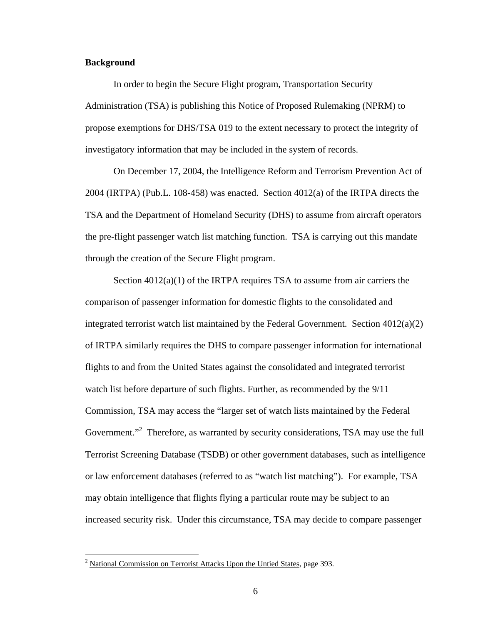# **Background**

<u>.</u>

 In order to begin the Secure Flight program, Transportation Security Administration (TSA) is publishing this Notice of Proposed Rulemaking (NPRM) to propose exemptions for DHS/TSA 019 to the extent necessary to protect the integrity of investigatory information that may be included in the system of records.

 On December 17, 2004, the Intelligence Reform and Terrorism Prevention Act of 2004 (IRTPA) (Pub.L. 108-458) was enacted. Section 4012(a) of the IRTPA directs the TSA and the Department of Homeland Security (DHS) to assume from aircraft operators the pre-flight passenger watch list matching function. TSA is carrying out this mandate through the creation of the Secure Flight program.

Section  $4012(a)(1)$  of the IRTPA requires TSA to assume from air carriers the comparison of passenger information for domestic flights to the consolidated and integrated terrorist watch list maintained by the Federal Government. Section 4012(a)(2) of IRTPA similarly requires the DHS to compare passenger information for international flights to and from the United States against the consolidated and integrated terrorist watch list before departure of such flights. Further, as recommended by the 9/11 Commission, TSA may access the "larger set of watch lists maintained by the Federal Government."<sup>2</sup> Therefore, as warranted by security considerations, TSA may use the full Terrorist Screening Database (TSDB) or other government databases, such as intelligence or law enforcement databases (referred to as "watch list matching"). For example, TSA may obtain intelligence that flights flying a particular route may be subject to an increased security risk. Under this circumstance, TSA may decide to compare passenger

<sup>&</sup>lt;sup>2</sup> National Commission on Terrorist Attacks Upon the Untied States, page 393.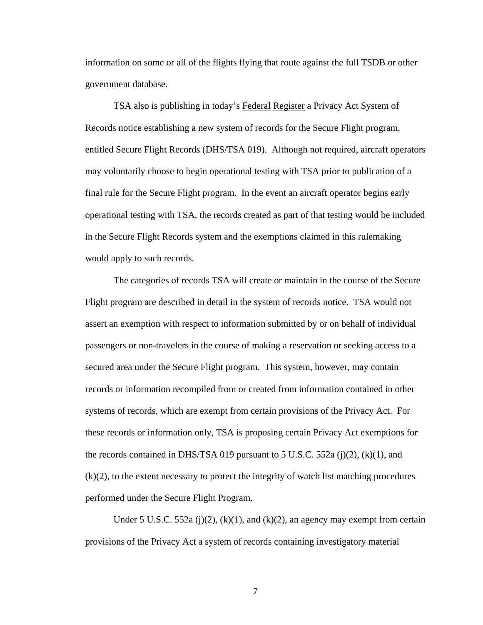information on some or all of the flights flying that route against the full TSDB or other government database.

 TSA also is publishing in today's Federal Register a Privacy Act System of Records notice establishing a new system of records for the Secure Flight program, entitled Secure Flight Records (DHS/TSA 019).Although not required, aircraft operators may voluntarily choose to begin operational testing with TSA prior to publication of a final rule for the Secure Flight program. In the event an aircraft operator begins early operational testing with TSA, the records created as part of that testing would be included in the Secure Flight Records system and the exemptions claimed in this rulemaking would apply to such records.

 The categories of records TSA will create or maintain in the course of the Secure Flight program are described in detail in the system of records notice. TSA would not assert an exemption with respect to information submitted by or on behalf of individual passengers or non-travelers in the course of making a reservation or seeking access to a secured area under the Secure Flight program. This system, however, may contain records or information recompiled from or created from information contained in other systems of records, which are exempt from certain provisions of the Privacy Act. For these records or information only, TSA is proposing certain Privacy Act exemptions for the records contained in DHS/TSA 019 pursuant to 5 U.S.C. 552a (j)(2), (k)(1), and (k)(2), to the extent necessary to protect the integrity of watch list matching procedures performed under the Secure Flight Program.

Under 5 U.S.C. 552a (j)(2), (k)(1), and (k)(2), an agency may exempt from certain provisions of the Privacy Act a system of records containing investigatory material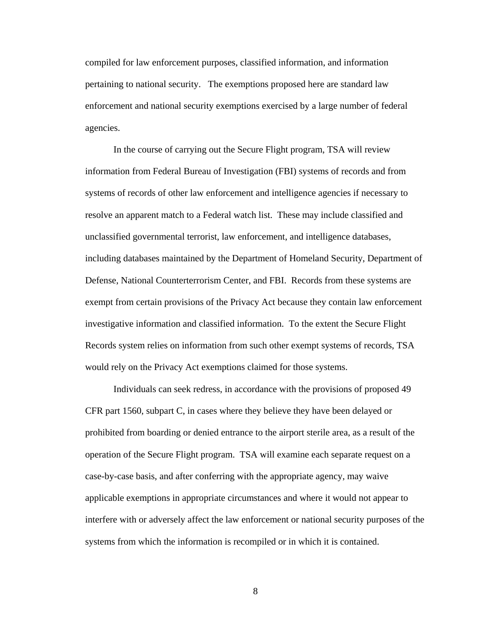compiled for law enforcement purposes, classified information, and information pertaining to national security. The exemptions proposed here are standard law enforcement and national security exemptions exercised by a large number of federal agencies.

 In the course of carrying out the Secure Flight program, TSA will review information from Federal Bureau of Investigation (FBI) systems of records and from systems of records of other law enforcement and intelligence agencies if necessary to resolve an apparent match to a Federal watch list. These may include classified and unclassified governmental terrorist, law enforcement, and intelligence databases, including databases maintained by the Department of Homeland Security, Department of Defense, National Counterterrorism Center, and FBI. Records from these systems are exempt from certain provisions of the Privacy Act because they contain law enforcement investigative information and classified information. To the extent the Secure Flight Records system relies on information from such other exempt systems of records, TSA would rely on the Privacy Act exemptions claimed for those systems.

 Individuals can seek redress, in accordance with the provisions of proposed 49 CFR part 1560, subpart C, in cases where they believe they have been delayed or prohibited from boarding or denied entrance to the airport sterile area, as a result of the operation of the Secure Flight program. TSA will examine each separate request on a case-by-case basis, and after conferring with the appropriate agency, may waive applicable exemptions in appropriate circumstances and where it would not appear to interfere with or adversely affect the law enforcement or national security purposes of the systems from which the information is recompiled or in which it is contained.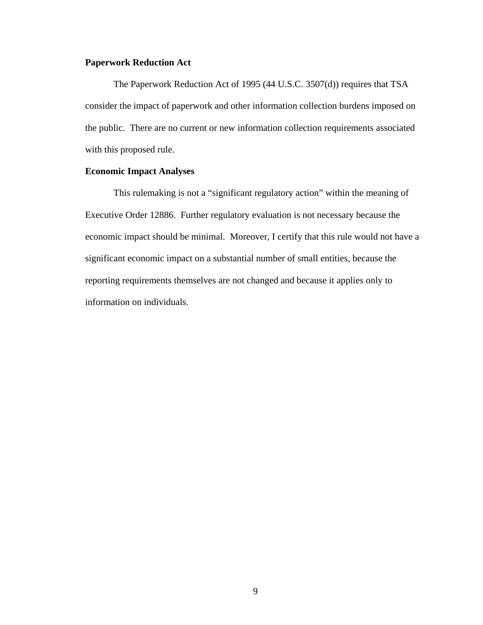# **Paperwork Reduction Act**

The Paperwork Reduction Act of 1995 (44 U.S.C. 3507(d)) requires that TSA consider the impact of paperwork and other information collection burdens imposed on the public. There are no current or new information collection requirements associated with this proposed rule.

# **Economic Impact Analyses**

This rulemaking is not a "significant regulatory action" within the meaning of Executive Order 12886. Further regulatory evaluation is not necessary because the economic impact should be minimal. Moreover, I certify that this rule would not have a significant economic impact on a substantial number of small entities, because the reporting requirements themselves are not changed and because it applies only to information on individuals.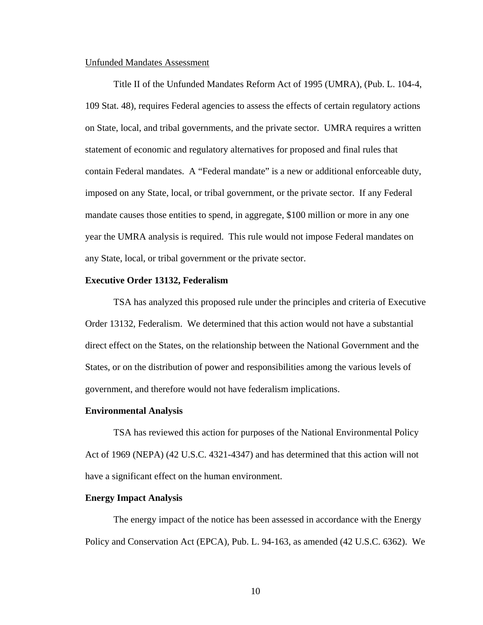### Unfunded Mandates Assessment

 Title II of the Unfunded Mandates Reform Act of 1995 (UMRA), (Pub. L. 104-4, 109 Stat. 48), requires Federal agencies to assess the effects of certain regulatory actions on State, local, and tribal governments, and the private sector. UMRA requires a written statement of economic and regulatory alternatives for proposed and final rules that contain Federal mandates. A "Federal mandate" is a new or additional enforceable duty, imposed on any State, local, or tribal government, or the private sector. If any Federal mandate causes those entities to spend, in aggregate, \$100 million or more in any one year the UMRA analysis is required. This rule would not impose Federal mandates on any State, local, or tribal government or the private sector.

# **Executive Order 13132, Federalism**

 TSA has analyzed this proposed rule under the principles and criteria of Executive Order 13132, Federalism. We determined that this action would not have a substantial direct effect on the States, on the relationship between the National Government and the States, or on the distribution of power and responsibilities among the various levels of government, and therefore would not have federalism implications.

#### **Environmental Analysis**

 TSA has reviewed this action for purposes of the National Environmental Policy Act of 1969 (NEPA) (42 U.S.C. 4321-4347) and has determined that this action will not have a significant effect on the human environment.

#### **Energy Impact Analysis**

 The energy impact of the notice has been assessed in accordance with the Energy Policy and Conservation Act (EPCA), Pub. L. 94-163, as amended (42 U.S.C. 6362). We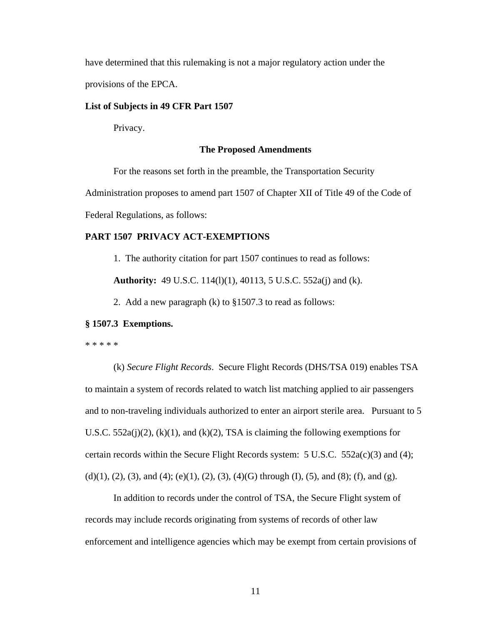have determined that this rulemaking is not a major regulatory action under the provisions of the EPCA.

# **List of Subjects in 49 CFR Part 1507**

Privacy.

### **The Proposed Amendments**

For the reasons set forth in the preamble, the Transportation Security

Administration proposes to amend part 1507 of Chapter XII of Title 49 of the Code of

Federal Regulations, as follows:

# **PART 1507 PRIVACY ACT-EXEMPTIONS**

1. The authority citation for part 1507 continues to read as follows:

**Authority:** 49 U.S.C. 114(l)(1), 40113, 5 U.S.C. 552a(j) and (k).

2. Add a new paragraph (k) to §1507.3 to read as follows:

### **§ 1507.3 Exemptions.**

\* \* \* \* \*

(k) *Secure Flight Records*. Secure Flight Records (DHS/TSA 019) enables TSA to maintain a system of records related to watch list matching applied to air passengers and to non-traveling individuals authorized to enter an airport sterile area. Pursuant to 5 U.S.C. 552a(j)(2), (k)(1), and (k)(2), TSA is claiming the following exemptions for certain records within the Secure Flight Records system:  $5 \text{ U.S.C. } 552a(c)(3)$  and (4); (d)(1), (2), (3), and (4); (e)(1), (2), (3), (4)(G) through (I), (5), and (8); (f), and (g).

In addition to records under the control of TSA, the Secure Flight system of records may include records originating from systems of records of other law enforcement and intelligence agencies which may be exempt from certain provisions of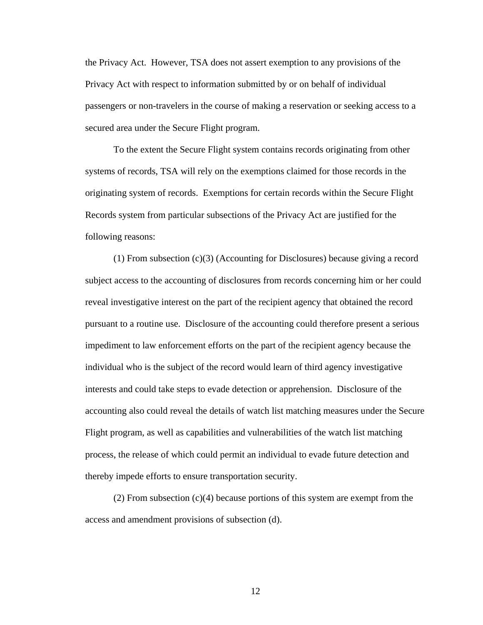the Privacy Act. However, TSA does not assert exemption to any provisions of the Privacy Act with respect to information submitted by or on behalf of individual passengers or non-travelers in the course of making a reservation or seeking access to a secured area under the Secure Flight program.

To the extent the Secure Flight system contains records originating from other systems of records, TSA will rely on the exemptions claimed for those records in the originating system of records. Exemptions for certain records within the Secure Flight Records system from particular subsections of the Privacy Act are justified for the following reasons:

(1) From subsection (c)(3) (Accounting for Disclosures) because giving a record subject access to the accounting of disclosures from records concerning him or her could reveal investigative interest on the part of the recipient agency that obtained the record pursuant to a routine use. Disclosure of the accounting could therefore present a serious impediment to law enforcement efforts on the part of the recipient agency because the individual who is the subject of the record would learn of third agency investigative interests and could take steps to evade detection or apprehension. Disclosure of the accounting also could reveal the details of watch list matching measures under the Secure Flight program, as well as capabilities and vulnerabilities of the watch list matching process, the release of which could permit an individual to evade future detection and thereby impede efforts to ensure transportation security.

(2) From subsection (c)(4) because portions of this system are exempt from the access and amendment provisions of subsection (d).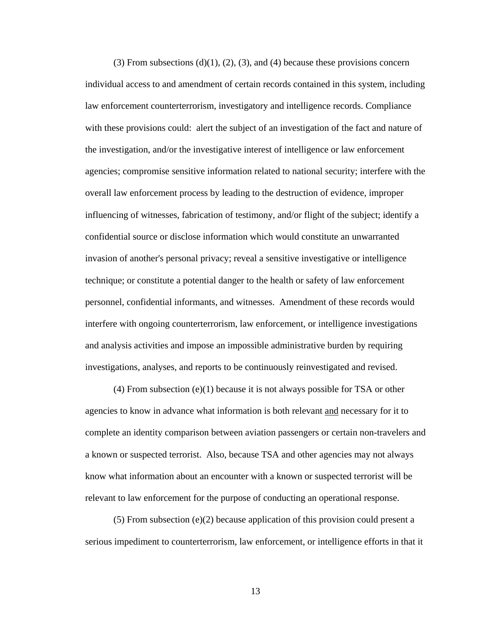(3) From subsections (d)(1), (2), (3), and (4) because these provisions concern individual access to and amendment of certain records contained in this system, including law enforcement counterterrorism, investigatory and intelligence records. Compliance with these provisions could: alert the subject of an investigation of the fact and nature of the investigation, and/or the investigative interest of intelligence or law enforcement agencies; compromise sensitive information related to national security; interfere with the overall law enforcement process by leading to the destruction of evidence, improper influencing of witnesses, fabrication of testimony, and/or flight of the subject; identify a confidential source or disclose information which would constitute an unwarranted invasion of another's personal privacy; reveal a sensitive investigative or intelligence technique; or constitute a potential danger to the health or safety of law enforcement personnel, confidential informants, and witnesses. Amendment of these records would interfere with ongoing counterterrorism, law enforcement, or intelligence investigations and analysis activities and impose an impossible administrative burden by requiring investigations, analyses, and reports to be continuously reinvestigated and revised.

(4) From subsection (e)(1) because it is not always possible for TSA or other agencies to know in advance what information is both relevant and necessary for it to complete an identity comparison between aviation passengers or certain non-travelers and a known or suspected terrorist. Also, because TSA and other agencies may not always know what information about an encounter with a known or suspected terrorist will be relevant to law enforcement for the purpose of conducting an operational response.

(5) From subsection (e)(2) because application of this provision could present a serious impediment to counterterrorism, law enforcement, or intelligence efforts in that it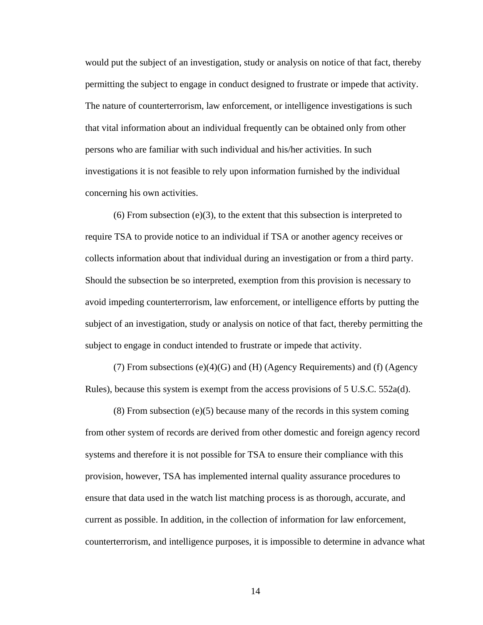would put the subject of an investigation, study or analysis on notice of that fact, thereby permitting the subject to engage in conduct designed to frustrate or impede that activity. The nature of counterterrorism, law enforcement, or intelligence investigations is such that vital information about an individual frequently can be obtained only from other persons who are familiar with such individual and his/her activities. In such investigations it is not feasible to rely upon information furnished by the individual concerning his own activities.

(6) From subsection (e)(3), to the extent that this subsection is interpreted to require TSA to provide notice to an individual if TSA or another agency receives or collects information about that individual during an investigation or from a third party. Should the subsection be so interpreted, exemption from this provision is necessary to avoid impeding counterterrorism, law enforcement, or intelligence efforts by putting the subject of an investigation, study or analysis on notice of that fact, thereby permitting the subject to engage in conduct intended to frustrate or impede that activity.

(7) From subsections  $(e)(4)(G)$  and  $(H)$  (Agency Requirements) and (f) (Agency Rules), because this system is exempt from the access provisions of 5 U.S.C. 552a(d).

(8) From subsection (e)(5) because many of the records in this system coming from other system of records are derived from other domestic and foreign agency record systems and therefore it is not possible for TSA to ensure their compliance with this provision, however, TSA has implemented internal quality assurance procedures to ensure that data used in the watch list matching process is as thorough, accurate, and current as possible. In addition, in the collection of information for law enforcement, counterterrorism, and intelligence purposes, it is impossible to determine in advance what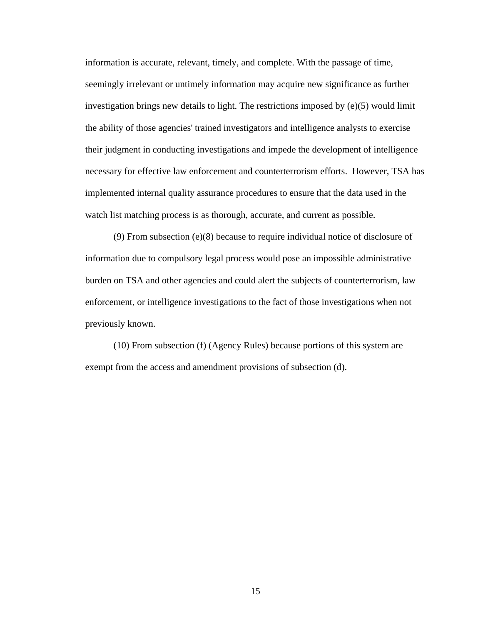information is accurate, relevant, timely, and complete. With the passage of time, seemingly irrelevant or untimely information may acquire new significance as further investigation brings new details to light. The restrictions imposed by (e)(5) would limit the ability of those agencies' trained investigators and intelligence analysts to exercise their judgment in conducting investigations and impede the development of intelligence necessary for effective law enforcement and counterterrorism efforts. However, TSA has implemented internal quality assurance procedures to ensure that the data used in the watch list matching process is as thorough, accurate, and current as possible.

(9) From subsection (e)(8) because to require individual notice of disclosure of information due to compulsory legal process would pose an impossible administrative burden on TSA and other agencies and could alert the subjects of counterterrorism, law enforcement, or intelligence investigations to the fact of those investigations when not previously known.

(10) From subsection (f) (Agency Rules) because portions of this system are exempt from the access and amendment provisions of subsection (d).